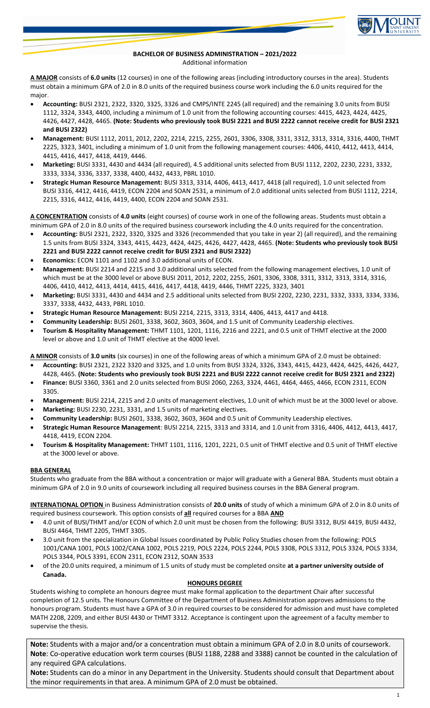

## **BACHELOR OF BUSINESS ADMINISTRATION – 2021/2022** Additional information

**A MAJOR** consists of **6.0 units** (12 courses) in one of the following areas (including introductory courses in the area). Students must obtain a minimum GPA of 2.0 in 8.0 units of the required business course work including the 6.0 units required for the major.

- **Accounting:** BUSI 2321, 2322, 3320, 3325, 3326 and CMPS/INTE 2245 (all required) and the remaining 3.0 units from BUSI 1112, 3324, 3343, 4400, including a minimum of 1.0 unit from the following accounting courses: 4415, 4423, 4424, 4425, 4426, 4427, 4428, 4465. **(Note: Students who previously took BUSI 2221 and BUSI 2222 cannot receive credit for BUSI 2321 and BUSI 2322)**
- **Management:** BUSI 1112, 2011, 2012, 2202, 2214, 2215, 2255, 2601, 3306, 3308, 3311, 3312, 3313, 3314, 3316, 4400, THMT 2225, 3323, 3401, including a minimum of 1.0 unit from the following management courses: 4406, 4410, 4412, 4413, 4414, 4415, 4416, 4417, 4418, 4419, 4446.
- **Marketing:** BUSI 3331, 4430 and 4434 (all required), 4.5 additional units selected from BUSI 1112, 2202, 2230, 2231, 3332, 3333, 3334, 3336, 3337, 3338, 4400, 4432, 4433, PBRL 1010.
- **Strategic Human Resource Management:** BUSI 3313, 3314, 4406, 4413, 4417, 4418 (all required), 1.0 unit selected from BUSI 3316, 4412, 4416, 4419, ECON 2204 and SOAN 2531, a minimum of 2.0 additional units selected from BUSI 1112, 2214, 2215, 3316, 4412, 4416, 4419, 4400, ECON 2204 and SOAN 2531.

**A CONCENTRATION** consists of **4.0 units** (eight courses) of course work in one of the following areas. Students must obtain a minimum GPA of 2.0 in 8.0 units of the required business coursework including the 4.0 units required for the concentration.

- **Accounting:** BUSI 2321, 2322, 3320, 3325 and 3326 (recommended that you take in year 2) (all required), and the remaining 1.5 units from BUSI 3324, 3343, 4415, 4423, 4424, 4425, 4426, 4427, 4428, 4465. **(Note: Students who previously took BUSI 2221 and BUSI 2222 cannot receive credit for BUSI 2321 and BUSI 2322)**
- **Economics:** ECON 1101 and 1102 and 3.0 additional units of ECON.
- **Management:** BUSI 2214 and 2215 and 3.0 additional units selected from the following management electives, 1.0 unit of which must be at the 3000 level or above BUSI 2011, 2012, 2202, 2255, 2601, 3306, 3308, 3311, 3312, 3313, 3314, 3316, 4406, 4410, 4412, 4413, 4414, 4415, 4416, 4417, 4418, 4419, 4446, THMT 2225, 3323, 3401
- **Marketing:** BUSI 3331, 4430 and 4434 and 2.5 additional units selected from BUSI 2202, 2230, 2231, 3332, 3333, 3334, 3336, 3337, 3338, 4432, 4433, PBRL 1010.
- **Strategic Human Resource Management:** BUSI 2214, 2215, 3313, 3314, 4406, 4413, 4417 and 4418.
- **Community Leadership:** BUSI 2601, 3338, 3602, 3603, 3604, and 1.5 unit of Community Leadership electives.
- **Tourism & Hospitality Management:** THMT 1101, 1201, 1116, 2216 and 2221, and 0.5 unit of THMT elective at the 2000 level or above and 1.0 unit of THMT elective at the 4000 level.

**A MINOR** consists of **3.0 units** (six courses) in one of the following areas of which a minimum GPA of 2.0 must be obtained:

- **Accounting:** BUSI 2321, 2322 3320 and 3325, and 1.0 units from BUSI 3324, 3326, 3343, 4415, 4423, 4424, 4425, 4426, 4427, 4428, 4465. **(Note: Students who previously took BUSI 2221 and BUSI 2222 cannot receive credit for BUSI 2321 and 2322)**
- **Finance:** BUSI 3360, 3361 and 2.0 units selected from BUSI 2060, 2263, 3324, 4461, 4464, 4465, 4466, ECON 2311, ECON 3305.
- **Management:** BUSI 2214, 2215 and 2.0 units of management electives, 1.0 unit of which must be at the 3000 level or above.
- **Marketing:** BUSI 2230, 2231, 3331, and 1.5 units of marketing electives.
- **Community Leadership:** BUSI 2601, 3338, 3602, 3603, 3604 and 0.5 unit of Community Leadership electives.
- **Strategic Human Resource Management**: BUSI 2214, 2215, 3313 and 3314, and 1.0 unit from 3316, 4406, 4412, 4413, 4417, 4418, 4419, ECON 2204.
- **Tourism & Hospitality Management:** THMT 1101, 1116, 1201, 2221, 0.5 unit of THMT elective and 0.5 unit of THMT elective at the 3000 level or above.

## **BBA GENERAL**

Students who graduate from the BBA without a concentration or major will graduate with a General BBA. Students must obtain a minimum GPA of 2.0 in 9.0 units of coursework including all required business courses in the BBA General program.

**INTERNATIONAL OPTION** in Business Administration consists of **20.0 units** of study of which a minimum GPA of 2.0 in 8.0 units of required business coursework. This option consists of **all** required courses for a BBA **AND**

- 4.0 unit of BUSI/THMT and/or ECON of which 2.0 unit must be chosen from the following: BUSI 3312, BUSI 4419, BUSI 4432, BUSI 4464, THMT 2205, THMT 3305.
- 3.0 unit from the specialization in Global Issues coordinated by Public Policy Studies chosen from the following: POLS 1001/CANA 1001, POLS 1002/CANA 1002, POLS 2219, POLS 2224, POLS 2244, POLS 3308, POLS 3312, POLS 3324, POLS 3334, POLS 3344, POLS 3391, ECON 2311, ECON 2312, SOAN 3533
- of the 20.0 units required, a minimum of 1.5 units of study must be completed onsite **at a partner university outside of Canada.**

## **HONOURS DEGREE**

Students wishing to complete an honours degree must make formal application to the department Chair after successful completion of 12.5 units. The Honours Committee of the Department of Business Administration approves admissions to the honours program. Students must have a GPA of 3.0 in required courses to be considered for admission and must have completed MATH 2208, 2209, and either BUSI 4430 or THMT 3312. Acceptance is contingent upon the agreement of a faculty member to supervise the thesis.

**Note:** Students with a major and/or a concentration must obtain a minimum GPA of 2.0 in 8.0 units of coursework. **Note**: Co-operative education work term courses (BUSI 1188, 2288 and 3388) cannot be counted in the calculation of any required GPA calculations.

**Note:** Students can do a minor in any Department in the University. Students should consult that Department about the minor requirements in that area. A minimum GPA of 2.0 must be obtained.